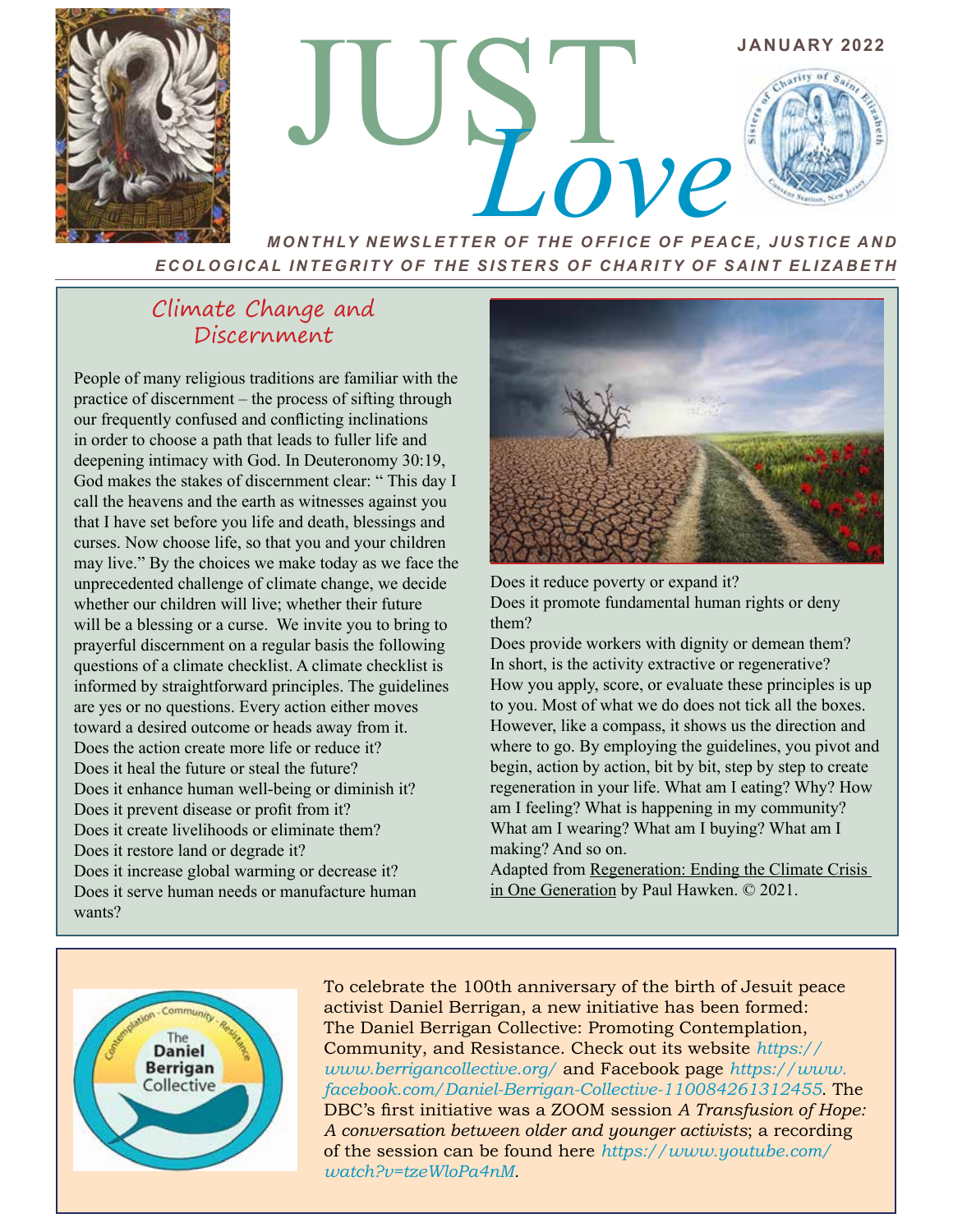



*MONTHLY NEWSLETTER OF THE OFFICE OF PEACE, JUSTICE AND ECOLOGICAL INTEGRITY OF THE SISTERS OF CHARITY OF SAINT ELIZABETH*

## Climate Change and Discernment

People of many religious traditions are familiar with the practice of discernment – the process of sifting through our frequently confused and conflicting inclinations in order to choose a path that leads to fuller life and deepening intimacy with God. In Deuteronomy 30:19, God makes the stakes of discernment clear: " This day I call the heavens and the earth as witnesses against you that I have set before you life and death, blessings and curses. Now choose life, so that you and your children may live." By the choices we make today as we face the unprecedented challenge of climate change, we decide whether our children will live; whether their future will be a blessing or a curse. We invite you to bring to prayerful discernment on a regular basis the following questions of a climate checklist. A climate checklist is informed by straightforward principles. The guidelines are yes or no questions. Every action either moves toward a desired outcome or heads away from it. Does the action create more life or reduce it? Does it heal the future or steal the future? Does it enhance human well-being or diminish it? Does it prevent disease or profit from it? Does it create livelihoods or eliminate them? Does it restore land or degrade it? Does it increase global warming or decrease it? Does it serve human needs or manufacture human wants?



Does it reduce poverty or expand it? Does it promote fundamental human rights or deny them?

Does provide workers with dignity or demean them? In short, is the activity extractive or regenerative? How you apply, score, or evaluate these principles is up to you. Most of what we do does not tick all the boxes. However, like a compass, it shows us the direction and where to go. By employing the guidelines, you pivot and begin, action by action, bit by bit, step by step to create regeneration in your life. What am I eating? Why? How am I feeling? What is happening in my community? What am I wearing? What am I buying? What am I making? And so on.

Adapted from Regeneration: Ending the Climate Crisis in One Generation by Paul Hawken. © 2021.



To celebrate the 100th anniversary of the birth of Jesuit peace activist Daniel Berrigan, a new initiative has been formed: The Daniel Berrigan Collective: Promoting Contemplation, Community, and Resistance. Check out its website *https:// www.berrigancollective.org/* and Facebook page *https://www. facebook.com/Daniel-Berrigan-Collective-110084261312455*. The DBC's first initiative was a ZOOM session *A Transfusion of Hope: A conversation between older and younger activists*; a recording of the session can be found here *https://www.youtube.com/ watch?v=tzeWloPa4nM.*